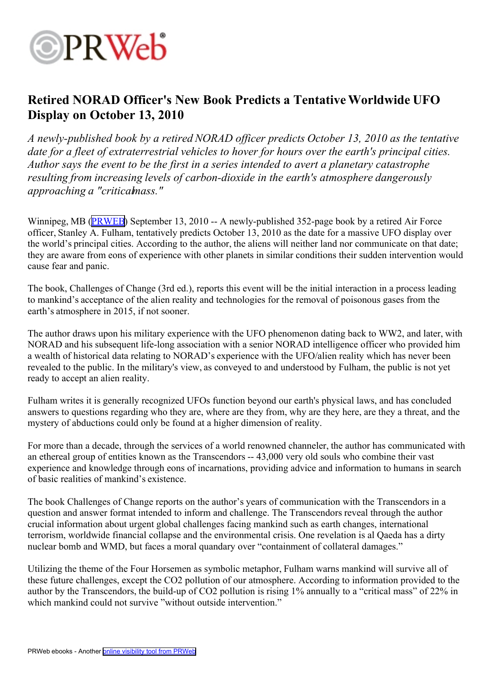

## **Retired NORAD Officer's New Book Predicts <sup>a</sup> TentativeWorldwide UFO Display on October 13, 2010**

*A newly-published book by <sup>a</sup> retired NORAD officer predicts October 13, 2010 as the tentative date for <sup>a</sup> fleet of extraterrestrial vehicles to hover for hours over the earth's principal cities. Author says the event to be the first in <sup>a</sup> series intended to avert <sup>a</sup> planetary catastrophe resulting from increasing levels of carbon-dioxide in the earth's atmosphere dangerously approaching <sup>a</sup> "criticalmass."*

Winnipeg, MB ([PRWEB](http://www.prweb.com)) September 13, 2010 -- A newly-published 352-page book by a retired Air Force officer, Stanley A. Fulham, tentatively predicts October 13, 2010 as the date for <sup>a</sup> massive UFO display over the world's principal cities. According to the author, the aliens will neither land nor communicate on that date; they are aware from eons of experience with other planets in similar conditions their sudden intervention would cause fear and panic.

The book, Challenges of Change (3rd ed.), reports this event will be the initial interaction in <sup>a</sup> process leading to mankind's acceptance of the alien reality and technologies for the removal of poisonous gases from the earth's atmosphere in 2015, if not sooner.

The author draws upon his military experience with the UFO phenomenon dating back to WW2, and later, with NORAD and his subsequent life-long association with <sup>a</sup> senior NORAD intelligence officer who provided him <sup>a</sup> wealth of historical data relating to NORAD's experience with the UFO/alien reality which has never been revealed to the public. In the military's view, as conveyed to and understood by Fulham, the public is not ye<sup>t</sup> ready to accep<sup>t</sup> an alien reality.

Fulham writes it is generally recognized UFOs function beyond our earth's physical laws, and has concluded answers to questions regarding who they are, where are they from, why are they here, are they <sup>a</sup> threat, and the mystery of abductions could only be found at <sup>a</sup> higher dimension of reality.

For more than <sup>a</sup> decade, through the services of <sup>a</sup> world renowned channeler, the author has communicated with an ethereal group of entities known as the Transcendors -- 43,000 very old souls who combine their vast experience and knowledge through eons of incarnations, providing advice and information to humans in search of basic realities of mankind's existence.

The book Challenges of Change reports on the author's years of communication with the Transcendors in <sup>a</sup> question and answer format intended to inform and challenge. The Transcendors reveal through the author crucial information about urgen<sup>t</sup> global challenges facing mankind such as earth changes, international terrorism, worldwide financial collapse and the environmental crisis. One revelation is al Qaeda has <sup>a</sup> dirty nuclear bomb and WMD, but faces <sup>a</sup> moral quandary over "containment of collateral damages."

Utilizing the theme of the Four Horsemen as symbolic metaphor, Fulham warns mankind will survive all of these future challenges, excep<sup>t</sup> the CO2 pollution of our atmosphere. According to information provided to the author by the Transcendors, the build-up of CO2 pollution is rising 1% annually to <sup>a</sup> "critical mass" of 22% in which mankind could not survive "without outside intervention."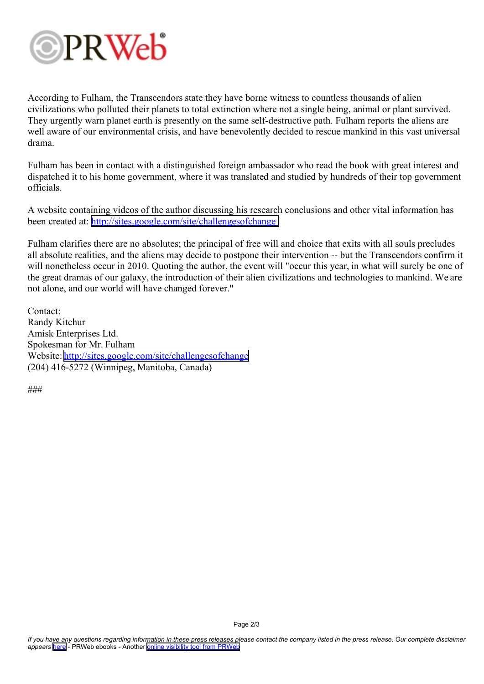

According to Fulham, the Transcendors state they have borne witness to countless thousands of alien civilizations who polluted their planets to total extinction where not <sup>a</sup> single being, animal or plant survived. They urgently warn planet earth is presently on the same self-destructive path. Fulham reports the aliens are well aware of our environmental crisis, and have benevolently decided to rescue mankind in this vast universal drama.

Fulham has been in contact with <sup>a</sup> distinguished foreign ambassador who read the book with grea<sup>t</sup> interest and dispatched it to his home government, where it was translated and studied by hundreds of their top governmen<sup>t</sup> officials.

A website containing videos of the author discussing his research conclusions and other vital information has been created at: <http://sites.google.com/site/challengesofchange>

Fulham clarifies there are no absolutes; the principal of free will and choice that exits with all souls precludes all absolute realities, and the aliens may decide to postpone their intervention -- but the Transcendors confirm it will nonetheless occur in 2010. Quoting the author, the event will "occur this year, in what will surely be one of the grea<sup>t</sup> dramas of our galaxy, the introduction of their alien civilizations and technologies to mankind. We are not alone, and our world will have changed forever."

Contact: Randy Kitchur Amisk Enterprises Ltd. Spokesman for Mr. Fulham Website: <http://sites.google.com/site/challengesofchange> (204) 416-5272 (Winnipeg, Manitoba, Canada)

###